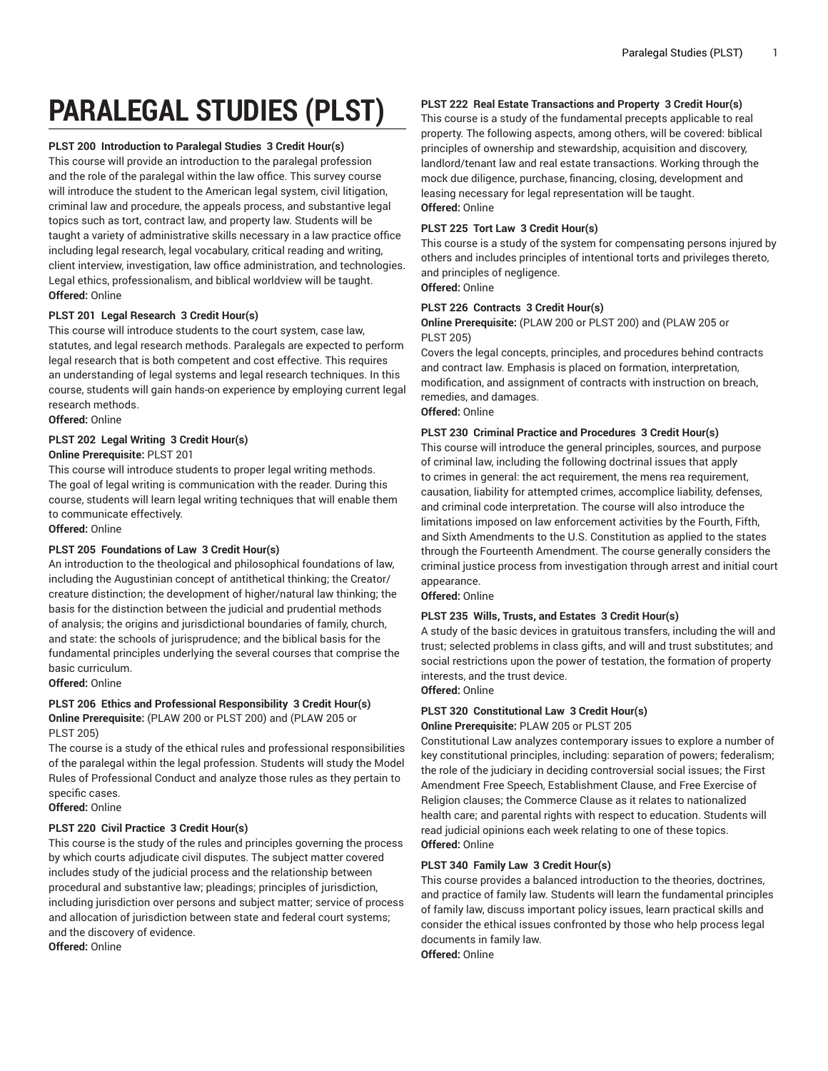# **PARALEGAL STUDIES (PLST)**

#### **PLST 200 Introduction to Paralegal Studies 3 Credit Hour(s)**

This course will provide an introduction to the paralegal profession and the role of the paralegal within the law office. This survey course will introduce the student to the American legal system, civil litigation, criminal law and procedure, the appeals process, and substantive legal topics such as tort, contract law, and property law. Students will be taught a variety of administrative skills necessary in a law practice office including legal research, legal vocabulary, critical reading and writing, client interview, investigation, law office administration, and technologies. Legal ethics, professionalism, and biblical worldview will be taught. **Offered:** Online

# **PLST 201 Legal Research 3 Credit Hour(s)**

This course will introduce students to the court system, case law, statutes, and legal research methods. Paralegals are expected to perform legal research that is both competent and cost effective. This requires an understanding of legal systems and legal research techniques. In this course, students will gain hands-on experience by employing current legal research methods.

**Offered:** Online

# **PLST 202 Legal Writing 3 Credit Hour(s)**

# **Online Prerequisite:** PLST 201

This course will introduce students to proper legal writing methods. The goal of legal writing is communication with the reader. During this course, students will learn legal writing techniques that will enable them to communicate effectively.

# **Offered:** Online

# **PLST 205 Foundations of Law 3 Credit Hour(s)**

An introduction to the theological and philosophical foundations of law, including the Augustinian concept of antithetical thinking; the Creator/ creature distinction; the development of higher/natural law thinking; the basis for the distinction between the judicial and prudential methods of analysis; the origins and jurisdictional boundaries of family, church, and state: the schools of jurisprudence; and the biblical basis for the fundamental principles underlying the several courses that comprise the basic curriculum.

# **Offered:** Online

#### **PLST 206 Ethics and Professional Responsibility 3 Credit Hour(s) Online Prerequisite:** (PLAW 200 or PLST 200) and (PLAW 205 or PLST 205)

The course is a study of the ethical rules and professional responsibilities of the paralegal within the legal profession. Students will study the Model Rules of Professional Conduct and analyze those rules as they pertain to specific cases.

# **Offered:** Online

#### **PLST 220 Civil Practice 3 Credit Hour(s)**

This course is the study of the rules and principles governing the process by which courts adjudicate civil disputes. The subject matter covered includes study of the judicial process and the relationship between procedural and substantive law; pleadings; principles of jurisdiction, including jurisdiction over persons and subject matter; service of process and allocation of jurisdiction between state and federal court systems; and the discovery of evidence.

**Offered:** Online

# **PLST 222 Real Estate Transactions and Property 3 Credit Hour(s)**

This course is a study of the fundamental precepts applicable to real property. The following aspects, among others, will be covered: biblical principles of ownership and stewardship, acquisition and discovery, landlord/tenant law and real estate transactions. Working through the mock due diligence, purchase, financing, closing, development and leasing necessary for legal representation will be taught. **Offered:** Online

#### **PLST 225 Tort Law 3 Credit Hour(s)**

This course is a study of the system for compensating persons injured by others and includes principles of intentional torts and privileges thereto, and principles of negligence.

**Offered:** Online

# **PLST 226 Contracts 3 Credit Hour(s)**

**Online Prerequisite:** (PLAW 200 or PLST 200) and (PLAW 205 or PLST 205)

Covers the legal concepts, principles, and procedures behind contracts and contract law. Emphasis is placed on formation, interpretation, modification, and assignment of contracts with instruction on breach, remedies, and damages.

**Offered:** Online

# **PLST 230 Criminal Practice and Procedures 3 Credit Hour(s)**

This course will introduce the general principles, sources, and purpose of criminal law, including the following doctrinal issues that apply to crimes in general: the act requirement, the mens rea requirement, causation, liability for attempted crimes, accomplice liability, defenses, and criminal code interpretation. The course will also introduce the limitations imposed on law enforcement activities by the Fourth, Fifth, and Sixth Amendments to the U.S. Constitution as applied to the states through the Fourteenth Amendment. The course generally considers the criminal justice process from investigation through arrest and initial court appearance.

**Offered:** Online

#### **PLST 235 Wills, Trusts, and Estates 3 Credit Hour(s)**

A study of the basic devices in gratuitous transfers, including the will and trust; selected problems in class gifts, and will and trust substitutes; and social restrictions upon the power of testation, the formation of property interests, and the trust device.

**Offered:** Online

#### **PLST 320 Constitutional Law 3 Credit Hour(s) Online Prerequisite:** PLAW 205 or PLST 205

Constitutional Law analyzes contemporary issues to explore a number of key constitutional principles, including: separation of powers; federalism; the role of the judiciary in deciding controversial social issues; the First Amendment Free Speech, Establishment Clause, and Free Exercise of Religion clauses; the Commerce Clause as it relates to nationalized health care; and parental rights with respect to education. Students will read judicial opinions each week relating to one of these topics. **Offered:** Online

#### **PLST 340 Family Law 3 Credit Hour(s)**

This course provides a balanced introduction to the theories, doctrines, and practice of family law. Students will learn the fundamental principles of family law, discuss important policy issues, learn practical skills and consider the ethical issues confronted by those who help process legal documents in family law.

**Offered:** Online